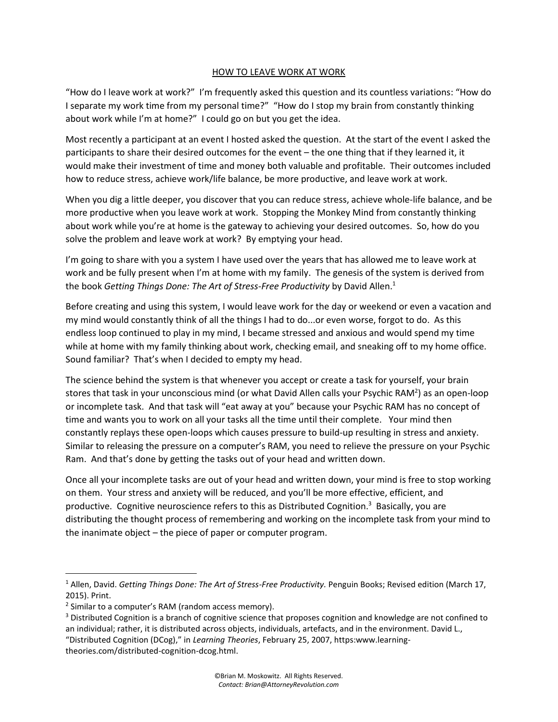## HOW TO LEAVE WORK AT WORK

"How do I leave work at work?" I'm frequently asked this question and its countless variations: "How do I separate my work time from my personal time?" "How do I stop my brain from constantly thinking about work while I'm at home?" I could go on but you get the idea.

Most recently a participant at an event I hosted asked the question. At the start of the event I asked the participants to share their desired outcomes for the event – the one thing that if they learned it, it would make their investment of time and money both valuable and profitable. Their outcomes included how to reduce stress, achieve work/life balance, be more productive, and leave work at work.

When you dig a little deeper, you discover that you can reduce stress, achieve whole-life balance, and be more productive when you leave work at work. Stopping the Monkey Mind from constantly thinking about work while you're at home is the gateway to achieving your desired outcomes. So, how do you solve the problem and leave work at work? By emptying your head.

I'm going to share with you a system I have used over the years that has allowed me to leave work at work and be fully present when I'm at home with my family. The genesis of the system is derived from the book *Getting Things Done: The Art of Stress-Free Productivity* by David Allen.<sup>1</sup>

Before creating and using this system, I would leave work for the day or weekend or even a vacation and my mind would constantly think of all the things I had to do...or even worse, forgot to do. As this endless loop continued to play in my mind, I became stressed and anxious and would spend my time while at home with my family thinking about work, checking email, and sneaking off to my home office. Sound familiar? That's when I decided to empty my head.

The science behind the system is that whenever you accept or create a task for yourself, your brain stores that task in your unconscious mind (or what David Allen calls your Psychic RAM<sup>2</sup>) as an open-loop or incomplete task. And that task will "eat away at you" because your Psychic RAM has no concept of time and wants you to work on all your tasks all the time until their complete. Your mind then constantly replays these open-loops which causes pressure to build-up resulting in stress and anxiety. Similar to releasing the pressure on a computer's RAM, you need to relieve the pressure on your Psychic Ram. And that's done by getting the tasks out of your head and written down.

Once all your incomplete tasks are out of your head and written down, your mind is free to stop working on them. Your stress and anxiety will be reduced, and you'll be more effective, efficient, and productive. Cognitive neuroscience refers to this as Distributed Cognition.<sup>3</sup> Basically, you are distributing the thought process of remembering and working on the incomplete task from your mind to the inanimate object – the piece of paper or computer program.

<sup>&</sup>lt;sup>1</sup> Allen, David. Getting Things Done: The Art of Stress-Free Productivity. Penguin Books; Revised edition (March 17, 2015). Print.

<sup>&</sup>lt;sup>2</sup> Similar to a computer's RAM (random access memory).

<sup>&</sup>lt;sup>3</sup> Distributed Cognition is a branch of cognitive science that proposes cognition and knowledge are not confined to an individual; rather, it is distributed across objects, individuals, artefacts, and in the environment. David L., "Distributed Cognition (DCog)," in *Learning Theories*, February 25, 2007, https:www.learning-

theories.com/distributed-cognition-dcog.html.